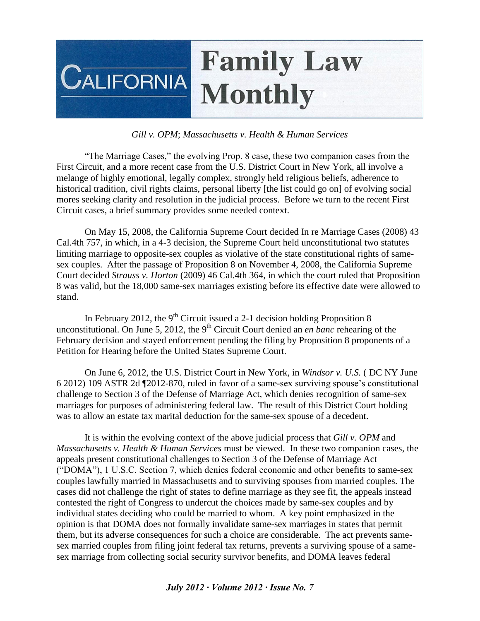

## *Gill v. OPM*; *Massachusetts v. Health & Human Services*

"The Marriage Cases," the evolving Prop. 8 case, these two companion cases from the First Circuit, and a more recent case from the U.S. District Court in New York, all involve a melange of highly emotional, legally complex, strongly held religious beliefs, adherence to historical tradition, civil rights claims, personal liberty [the list could go on] of evolving social mores seeking clarity and resolution in the judicial process. Before we turn to the recent First Circuit cases, a brief summary provides some needed context.

On May 15, 2008, the California Supreme Court decided In re Marriage Cases (2008) 43 Cal.4th 757, in which, in a 4-3 decision, the Supreme Court held unconstitutional two statutes limiting marriage to opposite-sex couples as violative of the state constitutional rights of samesex couples. After the passage of Proposition 8 on November 4, 2008, the California Supreme Court decided *Strauss v. Horton* (2009) 46 Cal.4th 364, in which the court ruled that Proposition 8 was valid, but the 18,000 same-sex marriages existing before its effective date were allowed to stand.

In February 2012, the  $9<sup>th</sup>$  Circuit issued a 2-1 decision holding Proposition 8 unconstitutional. On June 5, 2012, the 9<sup>th</sup> Circuit Court denied an *en banc* rehearing of the February decision and stayed enforcement pending the filing by Proposition 8 proponents of a Petition for Hearing before the United States Supreme Court.

On June 6, 2012, the U.S. District Court in New York, in *Windsor v. U.S.* ( DC NY June 6 2012) 109 ASTR 2d ¶2012-870, ruled in favor of a same-sex surviving spouse's constitutional challenge to Section 3 of the Defense of Marriage Act, which denies recognition of same-sex marriages for purposes of administering federal law. The result of this District Court holding was to allow an estate tax marital deduction for the same-sex spouse of a decedent.

It is within the evolving context of the above judicial process that *Gill v. OPM* and *Massachusetts v. Health & Human Services* must be viewed. In these two companion cases, the appeals present constitutional challenges to Section 3 of the Defense of Marriage Act ("DOMA"), 1 U.S.C. Section 7, which denies federal economic and other benefits to same-sex couples lawfully married in Massachusetts and to surviving spouses from married couples. The cases did not challenge the right of states to define marriage as they see fit, the appeals instead contested the right of Congress to undercut the choices made by same-sex couples and by individual states deciding who could be married to whom. A key point emphasized in the opinion is that DOMA does not formally invalidate same-sex marriages in states that permit them, but its adverse consequences for such a choice are considerable. The act prevents samesex married couples from filing joint federal tax returns, prevents a surviving spouse of a samesex marriage from collecting social security survivor benefits, and DOMA leaves federal